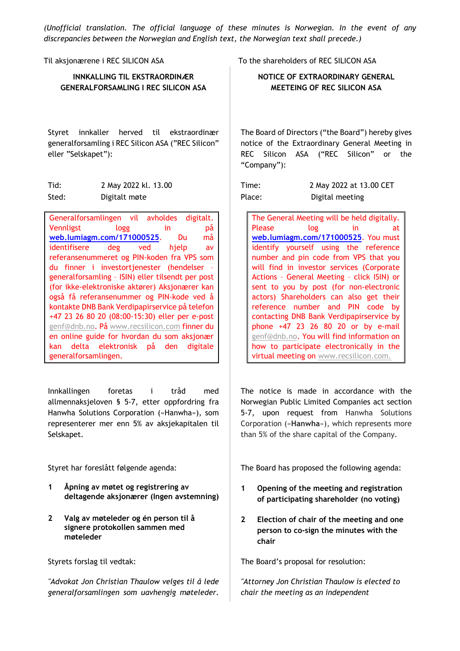*(Unofficial translation. The official language of these minutes is Norwegian. In the event of any discrepancies between the Norwegian and English text, the Norwegian text shall precede.)* 

| Til aksjonærene i REC SILICON ASA                                                                                         | To the shareholder                                                         |
|---------------------------------------------------------------------------------------------------------------------------|----------------------------------------------------------------------------|
| <b>INNKALLING TIL EKSTRAORDINÆR</b>                                                                                       | <b>NOTICE OF E</b>                                                         |
| <b>GENERALFORSAMLING I REC SILICON ASA</b>                                                                                | <b>MEETEIN</b>                                                             |
| innkaller herved til ekstraordinær<br>Styret<br>generalforsamling i REC Silicon ASA ("REC Silicon"<br>eller "Selskapet"): | The Board of Dire<br>notice of the Ext<br>REC Silicon<br>A.<br>"Company"): |
| Tid:<br>2 May 2022 kl. 13.00                                                                                              | Time:                                                                      |
| Sted:<br>Digitalt møte                                                                                                    | Place:                                                                     |
| Generalforsamlingen vil avholdes digitalt.<br>Vennligst<br>logg<br>in<br>рă                                               | The General M<br><b>Please</b>                                             |
| web.lumiagm.com/171000525.<br>må<br>Du                                                                                    | web.lumiagm.                                                               |
| deg ved<br>hjelp<br>identifisere<br>av                                                                                    | identify your                                                              |
| referansenummeret og PIN-koden fra VPS som                                                                                | number and p                                                               |
| du finner i investortjenester (hendelser -<br>generalforsamling - ISIN) eller tilsendt per post                           | will find in ir<br><b>Actions - Gene</b>                                   |
| (for ikke-elektroniske aktører) Aksjonærer kan                                                                            | sent to you b                                                              |
| også få referansenummer og PIN-kode ved å                                                                                 | actors) Shareh                                                             |
| kontakte DNB Bank Verdipapirservice på telefon                                                                            | reference nu                                                               |
| +47 23 26 80 20 (08:00-15:30) eller per e-post                                                                            | contacting DN                                                              |
| genf@dnb.no. På www.recsilicon.com finner du                                                                              | phone +47 2.                                                               |

Innkallingen foretas i tråd med allmennaksjeloven § 5-7, etter oppfordring fra Hanwha Solutions Corporation («Hanwha»), som representerer mer enn 5% av aksjekapitalen til Selskapet.

en online guide for hvordan du som aksjonær kan delta elektronisk på den digitale

- **1 Åpning av møtet og registrering av deltagende aksjonærer (Ingen avstemning)**
- **2 Valg av møteleder og én person til å signere protokollen sammen med møteleder**

generalforsamlingen.

*"Advokat Jon Christian Thaulow velges til å lede generalforsamlingen som uavhengig møteleder.*  rs of REC SILICON ASA

**EXTRAORDINARY GENERAL IG OF REC SILICON ASA** 

ctors ("the Board") hereby gives traordinary General Meeting in SA ("REC Silicon" or the

| Time:  | 2 May 2022 at 13.00 CET |
|--------|-------------------------|
| Place: | Digital meeting         |

eeting will be held digitally. Please log in at **web.lumiagm.com/171000525**. You must self using the reference in code from VPS that you nvestor services (Corporate eral Meeting - click ISIN) or by post (for non-electronic holders can also get their imber and PIN code by **B** Bank Verdipapirservice by phone +47 23 26 80 20 or by e-mail genf@dnb.no. You will find information on how to participate electronically in the virtual meeting on **WWW.recsilicon.com**.

The notice is made in accordance with the Norwegian Public Limited Companies act section 5-7, upon request from Hanwha Solutions Corporation («**Hanwha**»), which represents more than 5% of the share capital of the Company.

Styret har foreslått følgende agenda: The Board has proposed the following agenda:

- **1 Opening of the meeting and registration of participating shareholder (no voting)**
- **2 Election of chair of the meeting and one person to co-sign the minutes with the chair**

Styrets forslag til vedtak: The Board's proposal for resolution:

*"Attorney Jon Christian Thaulow is elected to chair the meeting as an independent*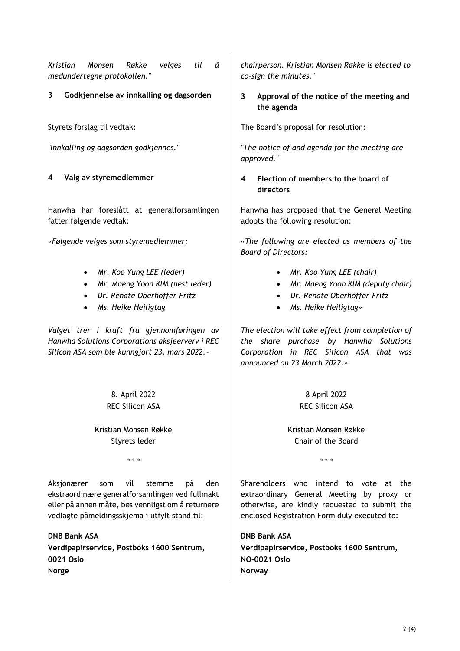*Kristian Monsen Røkke velges til å medundertegne protokollen."*

Hanwha har foreslått at generalforsamlingen fatter følgende vedtak:

- *Mr. Koo Yung LEE (leder)*
- *Mr. Maeng Yoon KIM (nest leder)*
- *Dr. Renate Oberhoffer-Fritz*
- *Ms. Heike Heiligtag*

*Valget trer i kraft fra gjennomføringen av Hanwha Solutions Corporations aksjeerverv i REC Silicon ASA som ble kunngjort 23. mars 2022.»* 

> 8. April 2022 REC Silicon ASA

Kristian Monsen Røkke Styrets leder

\* \* \* \* \* \*

Aksjonærer som vil stemme på den ekstraordinære generalforsamlingen ved fullmakt eller på annen måte, bes vennligst om å returnere vedlagte påmeldingsskjema i utfylt stand til:

**DNB Bank ASA Verdipapirservice, Postboks 1600 Sentrum, 0021 Oslo Norge**

*chairperson. Kristian Monsen Røkke is elected to co-sign the minutes."*

**3 Godkjennelse av innkalling og dagsorden** | **3 Approval of the notice of the meeting and the agenda** 

Styrets forslag til vedtak: The Board's proposal for resolution:

*"Innkalling og dagsorden godkjennes." "The notice of and agenda for the meeting are approved."*

**4 Valg av styremedlemmer 4 Election of members to the board of directors** 

> Hanwha has proposed that the General Meeting adopts the following resolution:

*«Følgende velges som styremedlemmer: «The following are elected as members of the Board of Directors:* 

- *Mr. Koo Yung LEE (chair)*
- *Mr. Maeng Yoon KIM (deputy chair)*
- *Dr. Renate Oberhoffer-Fritz*
- *Ms. Heike Heiligtag»*

*The election will take effect from completion of the share purchase by Hanwha Solutions Corporation in REC Silicon ASA that was announced on 23 March 2022.»* 

> 8 April 2022 REC Silicon ASA

Kristian Monsen Røkke Chair of the Board

Shareholders who intend to vote at the extraordinary General Meeting by proxy or otherwise, are kindly requested to submit the enclosed Registration Form duly executed to:

**DNB Bank ASA Verdipapirservice, Postboks 1600 Sentrum, NO-0021 Oslo Norway**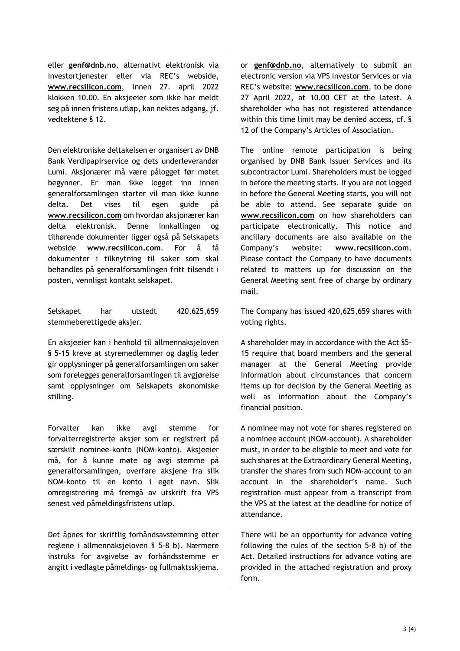eller **genf@dnb.no**, alternativt elektronisk via Investortjenester eller via REC's webside, **www.recsilicon.com**, innen 27. april 2022 klokken 10.00. En aksjeeier som ikke har meldt seg på innen fristens utløp, kan nektes adgang, jf. vedtektene § 12.

Den elektroniske deltakelsen er organisert av DNB Bank Verdipapirservice og dets underleverandør Lumi. Aksjonærer må være pålogget før møtet begynner. Er man ikke logget inn innen generalforsamlingen starter vil man ikke kunne delta. Det vises til egen guide på **www.recsilicon.com** om hvordan aksjonærer kan delta elektronisk. Denne innkallingen og tilhørende dokumenter ligger også på Selskapets webside **www.recsilicon.com**. For å få dokumenter i tilknytning til saker som skal behandles på generalforsamlingen fritt tilsendt i posten, vennligst kontakt selskapet.

Selskapet har utstedt 420,625,659 stemmeberettigede aksjer.

En aksjeeier kan i henhold til allmennaksjeloven § 5-15 kreve at styremedlemmer og daglig leder gir opplysninger på generalforsamlingen om saker som forelegges generalforsamlingen til avgjørelse samt opplysninger om Selskapets økonomiske stilling.

Forvalter kan ikke avgi stemme for forvalterregistrerte aksjer som er registrert på særskilt nominee-konto (NOM-konto). Aksjeeier må, for å kunne møte og avgi stemme på generalforsamlingen, overføre aksjene fra slik NOM-konto til en konto i eget navn. Slik omregistrering må fremgå av utskrift fra VPS senest ved påmeldingsfristens utløp.

Det åpnes for skriftlig forhåndsavstemning etter reglene i allmennaksjeloven § 5-8 b). Nærmere instruks for avgivelse av forhåndsstemme er angitt i vedlagte påmeldings- og fullmaktsskjema.

or **genf@dnb.no**, alternatively to submit an electronic version via VPS Investor Services or via REC's website: **www.recsilicon.com**, to be done 27 April 2022, at 10.00 CET at the latest. A shareholder who has not registered attendance within this time limit may be denied access, cf. § 12 of the Company's Articles of Association.

The online remote participation is being organised by DNB Bank Issuer Services and its subcontractor Lumi. Shareholders must be logged in before the meeting starts. If you are not logged in before the General Meeting starts, you will not be able to attend. See separate guide on **www.recsilicon.com** on how shareholders can participate electronically. This notice and ancillary documents are also available on the Company's website: **www.recsilicon.com**. Please contact the Company to have documents related to matters up for discussion on the General Meeting sent free of charge by ordinary mail.

The Company has issued 420,625,659 shares with voting rights.

A shareholder may in accordance with the Act §5- 15 require that board members and the general manager at the General Meeting provide information about circumstances that concern items up for decision by the General Meeting as well as information about the Company's financial position.

A nominee may not vote for shares registered on a nominee account (NOM-account). A shareholder must, in order to be eligible to meet and vote for such shares at the Extraordinary General Meeting, transfer the shares from such NOM-account to an account in the shareholder's name. Such registration must appear from a transcript from the VPS at the latest at the deadline for notice of attendance.

There will be an opportunity for advance voting following the rules of the section 5-8 b) of the Act. Detailed instructions for advance voting are provided in the attached registration and proxy form.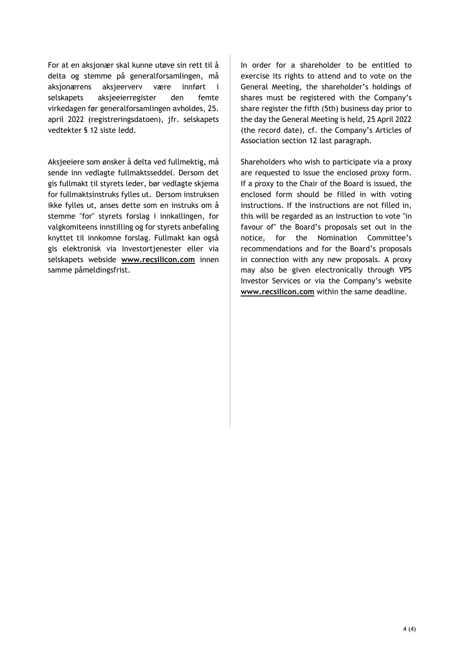For at en aksjonær skal kunne utøve sin rett til å delta og stemme på generalforsamlingen, må aksjonærens aksjeerverv være innført i selskapets aksjeeierregister den femte virkedagen før generalforsamlingen avholdes, 25. april 2022 (registreringsdatoen), jfr. selskapets vedtekter § 12 siste ledd.

Aksjeeiere som ønsker å delta ved fullmektig, må sende inn vedlagte fullmaktsseddel. Dersom det gis fullmakt til styrets leder, bør vedlagte skjema for fullmaktsinstruks fylles ut. Dersom instruksen ikke fylles ut, anses dette som en instruks om å stemme "for" styrets forslag i innkallingen, for valgkomiteens innstilling og for styrets anbefaling knyttet til innkomne forslag. Fullmakt kan også gis elektronisk via Investortjenester eller via selskapets webside **www.recsilicon.com** innen samme påmeldingsfrist.

In order for a shareholder to be entitled to exercise its rights to attend and to vote on the General Meeting, the shareholder's holdings of shares must be registered with the Company's share register the fifth (5th) business day prior to the day the General Meeting is held, 25 April 2022 (the record date), cf. the Company's Articles of Association section 12 last paragraph.

Shareholders who wish to participate via a proxy are requested to issue the enclosed proxy form. If a proxy to the Chair of the Board is issued, the enclosed form should be filled in with voting instructions. If the instructions are not filled in, this will be regarded as an instruction to vote "in favour of" the Board's proposals set out in the notice, for the Nomination Committee's recommendations and for the Board's proposals in connection with any new proposals. A proxy may also be given electronically through VPS Investor Services or via the Company's website **www.recsilicon.com** within the same deadline.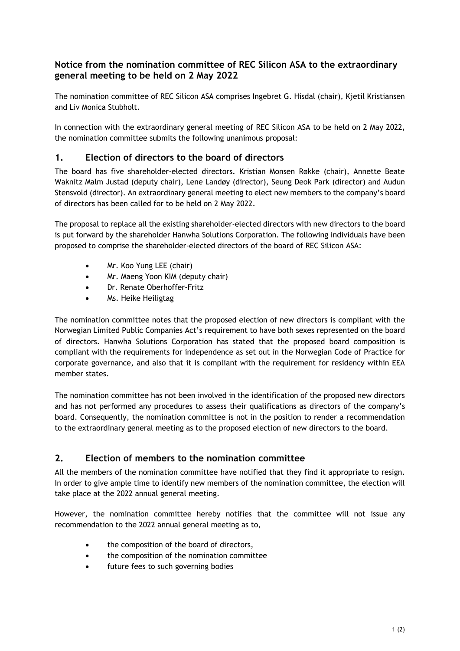# **Notice from the nomination committee of REC Silicon ASA to the extraordinary general meeting to be held on 2 May 2022**

The nomination committee of REC Silicon ASA comprises Ingebret G. Hisdal (chair), Kjetil Kristiansen and Liv Monica Stubholt.

In connection with the extraordinary general meeting of REC Silicon ASA to be held on 2 May 2022, the nomination committee submits the following unanimous proposal:

# **1. Election of directors to the board of directors**

The board has five shareholder-elected directors. Kristian Monsen Røkke (chair), Annette Beate Waknitz Malm Justad (deputy chair), Lene Landøy (director), Seung Deok Park (director) and Audun Stensvold (director). An extraordinary general meeting to elect new members to the company's board of directors has been called for to be held on 2 May 2022.

The proposal to replace all the existing shareholder-elected directors with new directors to the board is put forward by the shareholder Hanwha Solutions Corporation. The following individuals have been proposed to comprise the shareholder-elected directors of the board of REC Silicon ASA:

- Mr. Koo Yung LEE (chair)
- Mr. Maeng Yoon KIM (deputy chair)
- Dr. Renate Oberhoffer-Fritz
- Ms. Heike Heiligtag

The nomination committee notes that the proposed election of new directors is compliant with the Norwegian Limited Public Companies Act's requirement to have both sexes represented on the board of directors. Hanwha Solutions Corporation has stated that the proposed board composition is compliant with the requirements for independence as set out in the Norwegian Code of Practice for corporate governance, and also that it is compliant with the requirement for residency within EEA member states.

The nomination committee has not been involved in the identification of the proposed new directors and has not performed any procedures to assess their qualifications as directors of the company's board. Consequently, the nomination committee is not in the position to render a recommendation to the extraordinary general meeting as to the proposed election of new directors to the board.

# **2. Election of members to the nomination committee**

All the members of the nomination committee have notified that they find it appropriate to resign. In order to give ample time to identify new members of the nomination committee, the election will take place at the 2022 annual general meeting.

However, the nomination committee hereby notifies that the committee will not issue any recommendation to the 2022 annual general meeting as to,

- the composition of the board of directors,
- the composition of the nomination committee
- future fees to such governing bodies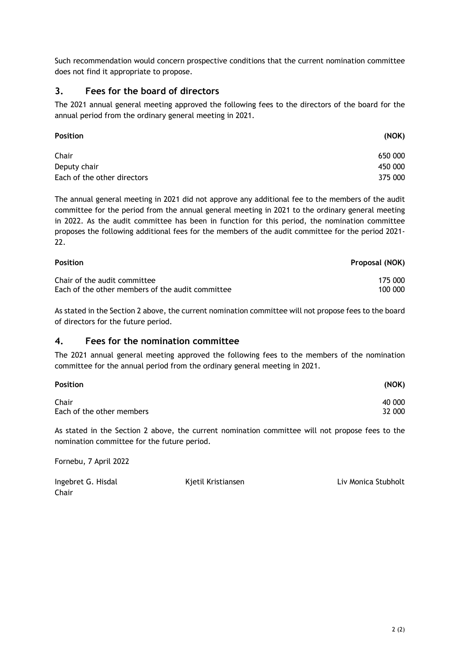Such recommendation would concern prospective conditions that the current nomination committee does not find it appropriate to propose.

## **3. Fees for the board of directors**

The 2021 annual general meeting approved the following fees to the directors of the board for the annual period from the ordinary general meeting in 2021.

| <b>Position</b>             | (NOK)   |
|-----------------------------|---------|
| Chair                       | 650 000 |
| Deputy chair                | 450 000 |
| Each of the other directors | 375 000 |

The annual general meeting in 2021 did not approve any additional fee to the members of the audit committee for the period from the annual general meeting in 2021 to the ordinary general meeting in 2022. As the audit committee has been in function for this period, the nomination committee proposes the following additional fees for the members of the audit committee for the period 2021- 22.

| <b>Position</b>                                  | Proposal (NOK) |
|--------------------------------------------------|----------------|
| Chair of the audit committee                     | 175 000        |
| Each of the other members of the audit committee | 100 000        |

As stated in the Section 2 above, the current nomination committee will not propose fees to the board of directors for the future period.

## **4. Fees for the nomination committee**

The 2021 annual general meeting approved the following fees to the members of the nomination committee for the annual period from the ordinary general meeting in 2021.

| <b>Position</b>           | (NOK)  |
|---------------------------|--------|
| Chair                     | 40 000 |
| Each of the other members | 32 000 |

As stated in the Section 2 above, the current nomination committee will not propose fees to the nomination committee for the future period.

Fornebu, 7 April 2022

| Ingebret G. Hisdal | Kjetil Kristiansen | Liv Monica Stubholt |
|--------------------|--------------------|---------------------|
| Chair              |                    |                     |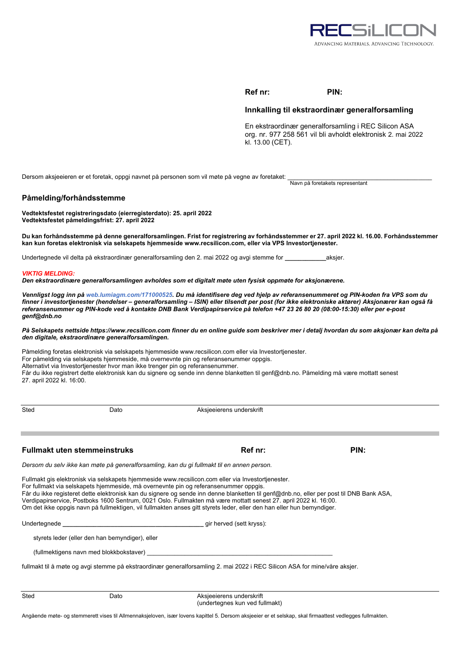

## **Ref nr: PIN:**

## **Innkalling til ekstraordinær generalforsamling**

En ekstraordinær generalforsamling i REC Silicon ASA org. nr. 977 258 561 vil bli avholdt elektronisk 2. mai 2022 kl. 13.00 (CET).

Dersom aksjeeieren er et foretak, oppgi navnet på personen som vil møte på vegne av foretaket:

Navn på foretakets representant

## **Påmelding/forhåndsstemme**

**Vedtektsfestet registreringsdato (eierregisterdato): 25. april 2022 Vedtektsfestet påmeldingsfrist: 27. april 2022** 

#### **Du kan forhåndsstemme på denne generalforsamlingen. Frist for registrering av forhåndsstemmer er 27. april 2022 kl. 16.00. Forhåndsstemmer kan kun foretas elektronisk via selskapets hjemmeside www.recsilicon.com, eller via VPS Investortjenester.**

Undertegnede vil delta på ekstraordinær generalforsamling den 2. mai 2022 og avgi stemme for **\_\_\_\_\_\_\_\_\_\_\_\_**aksjer.

#### *VIKTIG MELDING:*

*Den ekstraordinære generalforsamlingen avholdes som et digitalt møte uten fysisk oppmøte for aksjonærene.* 

*Vennligst logg inn på web.lumiagm.com/171000525. Du må identifisere deg ved hjelp av referansenummeret og PIN-koden fra VPS som du finner i investortjenester (hendelser – generalforsamling – ISIN) eller tilsendt per post (for ikke elektroniske aktører) Aksjonærer kan også få referansenummer og PIN-kode ved å kontakte DNB Bank Verdipapirservice på telefon +47 23 26 80 20 (08:00-15:30) eller per e-post genf@dnb.no* 

#### *På Selskapets nettside https://www.recsilicon.com finner du en online guide som beskriver mer i detalj hvordan du som aksjonær kan delta på den digitale, ekstraordinære generalforsamlingen.*

Påmelding foretas elektronisk via selskapets hjemmeside www.recsilicon.com eller via Investortjenester. For påmelding via selskapets hjemmeside, må overnevnte pin og referansenummer oppgis. Alternativt via Investortjenester hvor man ikke trenger pin og referansenummer. Får du ikke registrert dette elektronisk kan du signere og sende inn denne blanketten til genf@dnb.no. Påmelding må være mottatt senest 27. april 2022 kl. 16:00.

Sted Dato Dato Aksjeeierens underskrift

## **Fullmakt uten stemmeinstruks Ref nr: Ref nr: PIN: PIN:**

*Dersom du selv ikke kan møte på generalforsamling, kan du gi fullmakt til en annen person.* 

Fullmakt gis elektronisk via selskapets hjemmeside www.recsilicon.com eller via Investortjenester. For fullmakt via selskapets hjemmeside, må overnevnte pin og referansenummer oppgis. Får du ikke registeret dette elektronisk kan du signere og sende inn denne blanketten til genf@dnb.no, eller per post til DNB Bank ASA, Verdipapirservice, Postboks 1600 Sentrum, 0021 Oslo. Fullmakten må være mottatt senest 27. april 2022 kl. 16:00. Om det ikke oppgis navn på fullmektigen, vil fullmakten anses gitt styrets leder, eller den han eller hun bemyndiger.

Undertegnede **\_\_\_\_\_\_\_\_\_\_\_\_\_\_\_\_\_\_\_\_\_\_\_\_\_\_\_\_\_\_\_\_\_\_\_\_\_\_\_\_\_** gir herved (sett kryss):

styrets leder (eller den han bemyndiger), eller

(fullmektigens navn med blokkbokstaver) \_\_\_\_\_\_\_\_\_\_\_\_\_\_\_\_\_\_\_\_\_\_\_\_\_\_\_\_\_\_\_\_\_\_\_\_\_\_\_\_\_\_\_\_\_\_\_\_\_\_\_\_\_\_

fullmakt til å møte og avgi stemme på ekstraordinær generalforsamling 2. mai 2022 i REC Silicon ASA for mine/våre aksjer.

Sted **Dato** Dato **Aksjeeierens underskrift** (undertegnes kun ved fullmakt)

Angående møte- og stemmerett vises til Allmennaksjeloven, især lovens kapittel 5. Dersom aksjeeier er et selskap, skal firmaattest vedlegges fullmakten.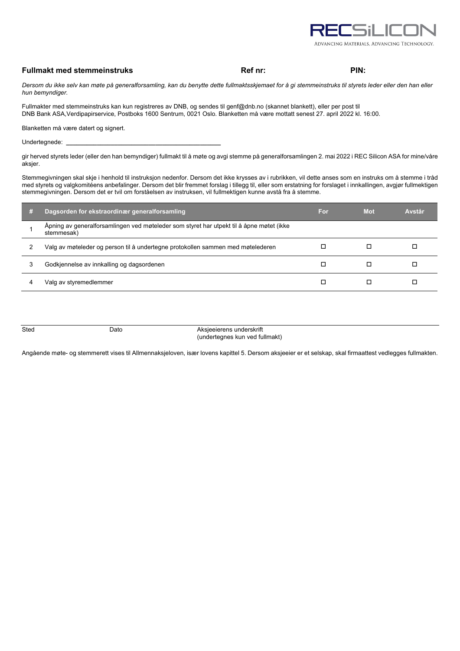

## **Fullmakt med stemmeinstruks Ref nr: Ref nr: PIN: PIN: PIN:**

*Dersom du ikke selv kan møte på generalforsamling, kan du benytte dette fullmaktsskjemaet for å gi stemmeinstruks til styrets leder eller den han eller hun bemyndiger.* 

Fullmakter med stemmeinstruks kan kun registreres av DNB, og sendes til genf@dnb.no (skannet blankett), eller per post til DNB Bank ASA,Verdipapirservice, Postboks 1600 Sentrum, 0021 Oslo. Blanketten må være mottatt senest 27. april 2022 kl. 16:00.

Blanketten må være datert og signert.

Undertegnede: **\_\_\_\_\_\_\_\_\_\_\_\_\_\_\_\_\_\_\_\_\_\_\_\_\_\_\_\_\_\_\_\_\_\_\_\_\_\_\_\_\_\_\_\_\_**

gir herved styrets leder (eller den han bemyndiger) fullmakt til å møte og avgi stemme på generalforsamlingen 2. mai 2022 i REC Silicon ASA for mine/våre aksjer.

Stemmegivningen skal skje i henhold til instruksjon nedenfor. Dersom det ikke krysses av i rubrikken, vil dette anses som en instruks om å stemme i tråd med styrets og valgkomitéens anbefalinger. Dersom det blir fremmet forslag i tillegg til, eller som erstatning for forslaget i innkallingen, avgjør fullmektigen stemmegivningen. Dersom det er tvil om forståelsen av instruksen, vil fullmektigen kunne avstå fra å stemme.

| m | Dagsorden for ekstraordinær generalforsamling                                                          | For | <b>Mot</b> | Avstår |
|---|--------------------------------------------------------------------------------------------------------|-----|------------|--------|
|   | Åpning av generalforsamlingen ved møteleder som styret har utpekt til å åpne møtet (ikke<br>stemmesak) |     |            |        |
| 2 | Valg av møteleder og person til å undertegne protokollen sammen med møtelederen                        |     |            |        |
| 3 | Godkjennelse av innkalling og dagsordenen                                                              |     |            |        |
| 4 | Valg av styremedlemmer                                                                                 |     |            |        |
|   |                                                                                                        |     |            |        |

Sted Dato Dato Aksjeeierens underskrift (undertegnes kun ved fullmakt)

Angående møte- og stemmerett vises til Allmennaksjeloven, især lovens kapittel 5. Dersom aksjeeier er et selskap, skal firmaattest vedlegges fullmakten.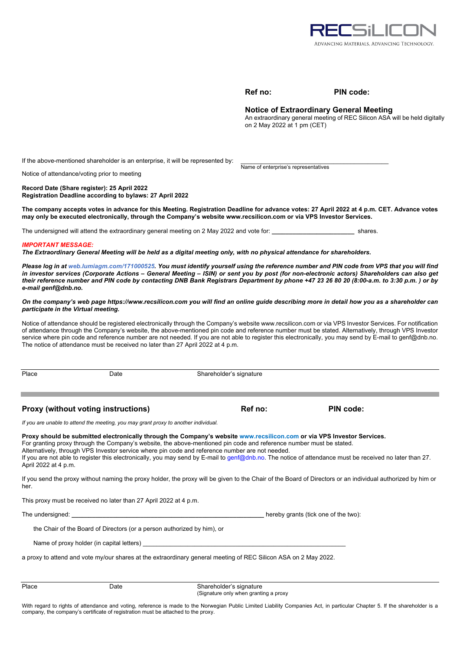

|        | I0 |
|--------|----|
| ı<br>۰ | ı  |

Name of enterprise's representatives

#### **PIN code:**

## **Notice of Extraordinary General Meeting**

An extraordinary general meeting of REC Silicon ASA will be held digitally on 2 May 2022 at 1 pm (CET)

If the above-mentioned shareholder is an enterprise, it will be represented by:

Notice of attendance/voting prior to meeting

**Record Date (Share register): 25 April 2022 Registration Deadline according to bylaws: 27 April 2022** 

**The company accepts votes in advance for this Meeting. Registration Deadline for advance votes: 27 April 2022 at 4 p.m. CET. Advance votes may only be executed electronically, through the Company's website www.recsilicon.com or via VPS Investor Services.** 

The undersigned will attend the extraordinary general meeting on 2 May 2022 and vote for: **\_\_\_\_\_\_\_\_\_\_\_\_\_\_\_\_\_\_\_\_\_\_\_\_** shares.

#### *IMPORTANT MESSAGE:*

*The Extraordinary General Meeting will be held as a digital meeting only, with no physical attendance for shareholders.* 

*Please log in at web.lumiagm.com/171000525. You must identify yourself using the reference number and PIN code from VPS that you will find in investor services (Corporate Actions – General Meeting – ISIN) or sent you by post (for non-electronic actors) Shareholders can also get their reference number and PIN code by contacting DNB Bank Registrars Department by phone +47 23 26 80 20 (8:00-a.m. to 3:30 p.m. ) or by e-mail genf@dnb.no.* 

*On the company's web page https://www.recsilicon.com you will find an online guide describing more in detail how you as a shareholder can participate in the Virtual meeting.* 

Notice of attendance should be registered electronically through the Company's website www.recsilicon.com or via VPS Investor Services. For notification of attendance through the Company's website, the above-mentioned pin code and reference number must be stated. Alternatively, through VPS Investor service where pin code and reference number are not needed. If you are not able to register this electronically, you may send by E-mail to genf@dnb.no. The notice of attendance must be received no later than 27 April 2022 at 4 p.m.

Place Date Date Shareholder's signature

**Proxy (without voting instructions) Ref no: PIN code: PIN code:** 

*If you are unable to attend the meeting, you may grant proxy to another individual.* 

**Proxy should be submitted electronically through the Company's website www.recsilicon.com or via VPS Investor Services.**  For granting proxy through the Company's website, the above-mentioned pin code and reference number must be stated. Alternatively, through VPS Investor service where pin code and reference number are not needed. If you are not able to register this electronically, you may send by E-mail to genf@dnb.no. The notice of attendance must be received no later than 27. April 2022 at 4 p.m.

If you send the proxy without naming the proxy holder, the proxy will be given to the Chair of the Board of Directors or an individual authorized by him or her.

This proxy must be received no later than 27 April 2022 at 4 p.m.

The undersigned: **the undersigned: and the two intervals of the two** intervals of the two intervals of the two intervals of the two intervals of the two intervals of the two intervals of the two intervals of the two inte

the Chair of the Board of Directors (or a person authorized by him), or

Name of proxy holder (in capital letters)

a proxy to attend and vote my/our shares at the extraordinary general meeting of REC Silicon ASA on 2 May 2022.

| Place | Date | Shareholder's signature<br>(Signature only when granting a proxy |
|-------|------|------------------------------------------------------------------|
|       |      |                                                                  |

With regard to rights of attendance and voting, reference is made to the Norwegian Public Limited Liability Companies Act, in particular Chapter 5. If the shareholder is a company, the company's certificate of registration must be attached to the proxy.